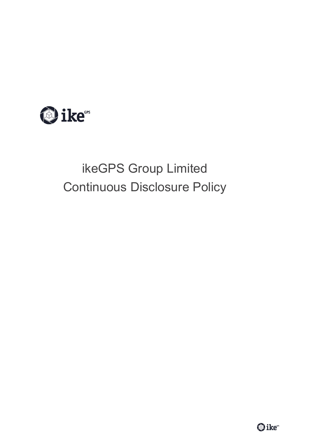

# ikeGPS Group Limited Continuous Disclosure Policy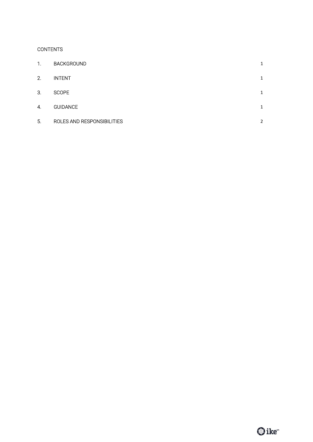## **CONTENTS**

| 1. | <b>BACKGROUND</b>          | 1 |
|----|----------------------------|---|
| 2. | <b>INTENT</b>              | 1 |
| 3. | <b>SCOPE</b>               | 1 |
| 4. | <b>GUIDANCE</b>            | 1 |
| 5. | ROLES AND RESPONSIBILITIES | 2 |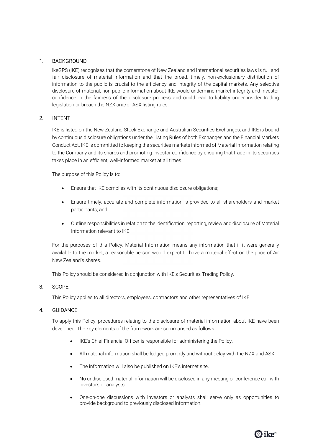## 1. BACKGROUND

ikeGPS (IKE) recognises that the cornerstone of New Zealand and international securities laws is full and fair disclosure of material information and that the broad, timely, non-exclusionary distribution of information to the public is crucial to the efficiency and integrity of the capital markets. Any selective disclosure of material, non-public information about IKE would undermine market integrity and investor confidence in the fairness of the disclosure process and could lead to liability under insider trading legislation or breach the NZX and/or ASX listing rules.

### 2. INTENT

IKE is listed on the New Zealand Stock Exchange and Australian Securities Exchanges, and IKE is bound by continuous disclosure obligations under the Listing Rules of both Exchanges and the Financial Markets Conduct Act. IKE is committed to keeping the securities markets informed of Material Information relating to the Company and its shares and promoting investor confidence by ensuring that trade in its securities takes place in an efficient, well-informed market at all times.

The purpose of this Policy is to:

- Ensure that IKE complies with its continuous disclosure obligations;
- Ensure timely, accurate and complete information is provided to all shareholders and market participants; and
- Outline responsibilities in relation to the identification, reporting, review and disclosure of Material Information relevant to IKE.

For the purposes of this Policy, Material Information means any information that if it were generally available to the market, a reasonable person would expect to have a material effect on the price of Air New Zealand's shares.

This Policy should be considered in conjunction with IKE's Securities Trading Policy.

### 3. SCOPE

This Policy applies to all directors, employees, contractors and other representatives of IKE.

### 4. GUIDANCE

To apply this Policy, procedures relating to the disclosure of material information about IKE have been developed. The key elements of the framework are summarised as follows:

- IKE's Chief Financial Officer is responsible for administering the Policy.
- All material information shall be lodged promptly and without delay with the NZX and ASX.
- The information will also be published on IKE's internet site,
- No undisclosed material information will be disclosed in any meeting or conference call with investors or analysts.
- One-on-one discussions with investors or analysts shall serve only as opportunities to provide background to previously disclosed information.